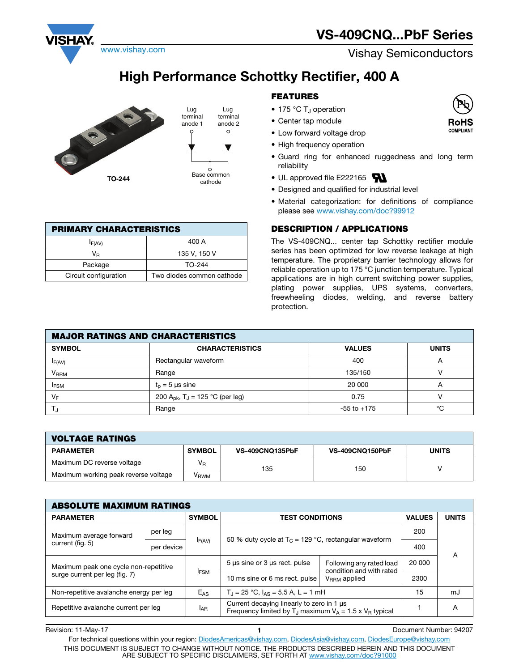## **High Performance Schottky Rectifier, 400 A**



| <b>PRIMARY CHARACTERISTICS</b> |                           |  |  |  |  |
|--------------------------------|---------------------------|--|--|--|--|
| $I_{F(AV)}$                    | 400 A                     |  |  |  |  |
| VR                             | 135 V, 150 V              |  |  |  |  |
| Package                        | TO-244                    |  |  |  |  |
| Circuit configuration          | Two diodes common cathode |  |  |  |  |

## **FEATURES**

- 175 °C  $T_J$  operation
- Center tap module
- Low forward voltage drop
- High frequency operation
- Guard ring for enhanced ruggedness and long term reliability
- UL approved file E222165
- Designed and qualified for industrial level
- Material categorization: for definitions of compliance please see www.vishay.com/doc?99912

## **DESCRIPTION / APPLICATIONS**

The VS-409CNQ... center tap Schottky rectifier module series has been optimized for low reverse leakage at high temperature. The proprietary barrier technology allows for reliable operation up to 175 °C junction temperature. Typical applications are in high current switching power supplies, plating power supplies, UPS systems, converters, freewheeling diodes, welding, and reverse battery protection.

| <b>MAJOR RATINGS AND CHARACTERISTICS</b> |                                                         |                 |   |  |  |  |  |
|------------------------------------------|---------------------------------------------------------|-----------------|---|--|--|--|--|
| <b>SYMBOL</b>                            | <b>VALUES</b><br><b>CHARACTERISTICS</b><br><b>UNITS</b> |                 |   |  |  |  |  |
| IF(AV)                                   | Rectangular waveform                                    | 400             | A |  |  |  |  |
| V <sub>RRM</sub>                         | Range                                                   | 135/150         |   |  |  |  |  |
| <b>IFSM</b>                              | $t_n = 5$ µs sine                                       | 20 000          | А |  |  |  |  |
| $V_F$                                    | 200 A <sub>pk</sub> , T <sub>J</sub> = 125 °C (per leg) | 0.75            |   |  |  |  |  |
|                                          | Range                                                   | $-55$ to $+175$ | ℃ |  |  |  |  |

| <b>VOLTAGE RATINGS</b>               |                  |                        |                 |              |  |  |  |
|--------------------------------------|------------------|------------------------|-----------------|--------------|--|--|--|
| <b>PARAMETER</b>                     | <b>SYMBOL</b>    | <b>VS-409CNQ135PbF</b> | VS-409CNQ150PbF | <b>UNITS</b> |  |  |  |
| Maximum DC reverse voltage           | V <sub>R</sub>   | 135                    | 150             |              |  |  |  |
| Maximum working peak reverse voltage | V <sub>RWM</sub> |                        |                 |              |  |  |  |

| <b>ABSOLUTE MAXIMUM RATINGS</b>                                         |                                                                                                            |                 |                                                                                                                         |                                                      |               |              |  |
|-------------------------------------------------------------------------|------------------------------------------------------------------------------------------------------------|-----------------|-------------------------------------------------------------------------------------------------------------------------|------------------------------------------------------|---------------|--------------|--|
| <b>PARAMETER</b>                                                        |                                                                                                            | <b>SYMBOL</b>   | <b>TEST CONDITIONS</b>                                                                                                  |                                                      | <b>VALUES</b> | <b>UNITS</b> |  |
| Maximum average forward                                                 | per leg                                                                                                    |                 | 50 % duty cycle at $T_c$ = 129 °C, rectangular waveform                                                                 |                                                      | 200           |              |  |
| current (fig. 5)                                                        | per device                                                                                                 | $I_{F(AV)}$     |                                                                                                                         |                                                      | 400           | A            |  |
| Maximum peak one cycle non-repetitive<br>surge current per leg (fig. 7) |                                                                                                            | <b>IFSM</b>     | 5 µs sine or 3 µs rect. pulse                                                                                           | Following any rated load<br>condition and with rated | 20 000        |              |  |
|                                                                         |                                                                                                            |                 | 10 ms sine or 6 ms rect. pulse                                                                                          | $V_{RRM}$ applied                                    | 2300          |              |  |
|                                                                         | $T_{\rm d}$ = 25 °C, $I_{\rm AS}$ = 5.5 A, L = 1 mH<br>Non-repetitive avalanche energy per leg<br>$E_{AS}$ |                 | 15                                                                                                                      | mJ                                                   |               |              |  |
| Repetitive avalanche current per leg                                    |                                                                                                            | I <sub>AR</sub> | Current decaying linearly to zero in 1 µs<br>Frequency limited by T <sub>J</sub> maximum $V_A = 1.5 \times V_B$ typical |                                                      |               | A            |  |

Revision: 11-May-17 **1** Document Number: 94207 For technical questions within your region: DiodesAmericas@vishay.com, DiodesAsia@vishay.com, DiodesEurope@vishay.com THIS DOCUMENT IS SUBJECT TO CHANGE WITHOUT NOTICE. THE PRODUCTS DESCRIBED HEREIN AND THIS DOCUMENT ARE SUBJECT TO SPECIFIC DISCLAIMERS, SET FORTH AT www.vishay.com/doc?91000



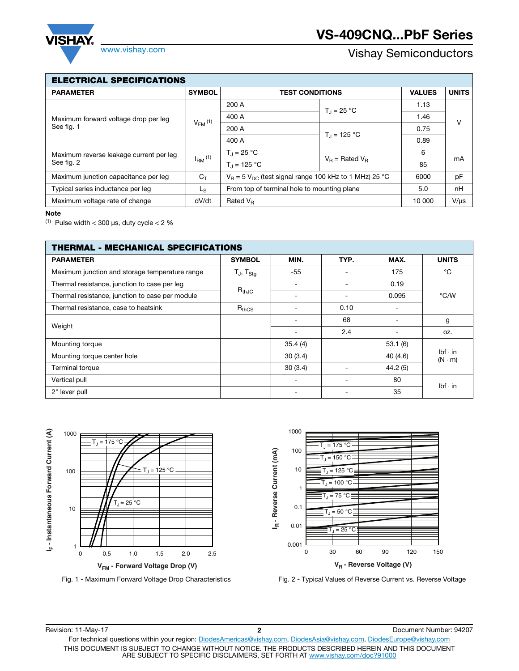

| ELECTRICAL SPECIFICATIONS |  |
|---------------------------|--|
|---------------------------|--|

| ELEU I KIUAL ƏPEUIFIUA I IUNƏ           |               |                                                             |                                 |              |           |  |  |  |
|-----------------------------------------|---------------|-------------------------------------------------------------|---------------------------------|--------------|-----------|--|--|--|
| <b>PARAMETER</b>                        | <b>SYMBOL</b> | <b>TEST CONDITIONS</b>                                      | <b>VALUES</b>                   | <b>UNITS</b> |           |  |  |  |
|                                         |               | 200 A                                                       | $T_{d} = 25 °C$                 | 1.13         | v         |  |  |  |
| Maximum forward voltage drop per leg    | $V_{FM}$ (1)  | 400 A                                                       |                                 | 1.46         |           |  |  |  |
| See fig. 1                              |               | 200 A                                                       |                                 | 0.75         |           |  |  |  |
|                                         |               | 400 A                                                       | $T_{\rm J}$ = 125 °C            | 0.89         |           |  |  |  |
| Maximum reverse leakage current per leg | $I_{RM}$ (1)  | $T_{\rm d} = 25 \,^{\circ}\text{C}$                         | $V_{\rm B}$ = Rated $V_{\rm B}$ | 6            | mA        |  |  |  |
| See fig. 2                              |               | $T_{d} = 125 °C$                                            |                                 | 85           |           |  |  |  |
| Maximum junction capacitance per leg    | $C_T$         | $V_B = 5 V_{DC}$ (test signal range 100 kHz to 1 MHz) 25 °C | 6000                            | pF           |           |  |  |  |
| Typical series inductance per leg       | Ls.           | From top of terminal hole to mounting plane                 |                                 | 5.0          | nH        |  |  |  |
| Maximum voltage rate of change          | dV/dt         | 10 000<br>Rated $V_R$                                       |                                 |              | $V/\mu s$ |  |  |  |

Г

<sup>(1)</sup> Pulse width  $<$  300 µs, duty cycle  $<$  2  $%$ 

| <b>THERMAL - MECHANICAL SPECIFICATIONS</b>      |                   |         |      |          |                                 |  |  |
|-------------------------------------------------|-------------------|---------|------|----------|---------------------------------|--|--|
| <b>PARAMETER</b>                                | <b>SYMBOL</b>     | MIN.    | TYP. | MAX.     | <b>UNITS</b>                    |  |  |
| Maximum junction and storage temperature range  | $T_J$ , $T_{Stg}$ | -55     |      | 175      | °C                              |  |  |
| Thermal resistance, junction to case per leg    |                   |         |      | 0.19     |                                 |  |  |
| Thermal resistance, junction to case per module | $R_{th,IC}$       |         |      | 0.095    | °C/W                            |  |  |
| Thermal resistance, case to heatsink            | $R_{thCS}$        |         | 0.10 |          |                                 |  |  |
|                                                 |                   |         | 68   |          | g                               |  |  |
| Weight                                          |                   |         | 2.4  | ۰        | OZ.                             |  |  |
| Mounting torque                                 |                   | 35.4(4) |      | 53.1(6)  |                                 |  |  |
| Mounting torque center hole                     |                   | 30(3.4) |      | 40 (4.6) | $Ibf \cdot in$<br>$(N \cdot m)$ |  |  |
| Terminal torque                                 |                   | 30(3.4) |      | 44.2(5)  |                                 |  |  |
| Vertical pull                                   |                   |         |      | 80       | $Ibf \cdot in$                  |  |  |
| 2" lever pull                                   |                   |         |      | 35       |                                 |  |  |





Fig. 1 - Maximum Forward Voltage Drop Characteristics Fig. 2 - Typical Values of Reverse Current vs. Reverse Voltage

Revision: 11-May-17 **2** Document Number: 94207 For technical questions within your region: DiodesAmericas@vishay.com, DiodesAsia@vishay.com, DiodesEurope@vishay.com THIS DOCUMENT IS SUBJECT TO CHANGE WITHOUT NOTICE. THE PRODUCTS DESCRIBED HEREIN AND THIS DOCUMENT ARE SUBJECT TO SPECIFIC DISCLAIMERS, SET FORTH AT www.vishay.com/doc?91000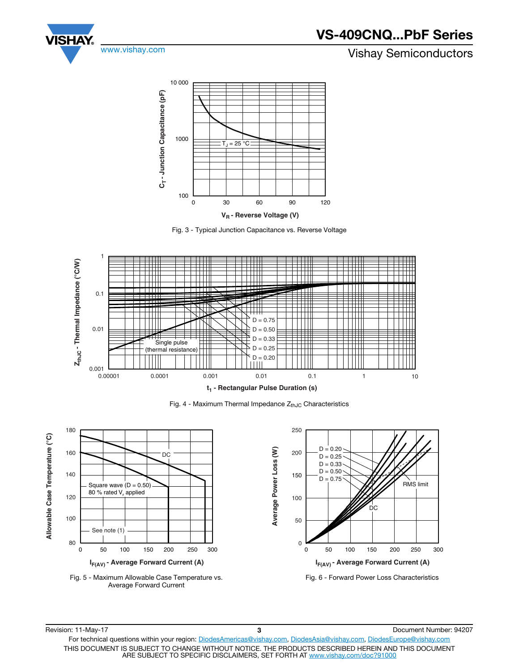



Fig. 3 - Typical Junction Capacitance vs. Reverse Voltage



Fig. 4 - Maximum Thermal Impedance  $Z_{thJC}$  Characteristics







Fig. 6 - Forward Power Loss Characteristics

Revision: 11-May-17 **3** Document Number: 94207 For technical questions within your region: DiodesAmericas@vishay.com, DiodesAsia@vishay.com, DiodesEurope@vishay.com THIS DOCUMENT IS SUBJECT TO CHANGE WITHOUT NOTICE. THE PRODUCTS DESCRIBED HEREIN AND THIS DOCUMENT ARE SUBJECT TO SPECIFIC DISCLAIMERS, SET FORTH AT www.vishay.com/doc?91000